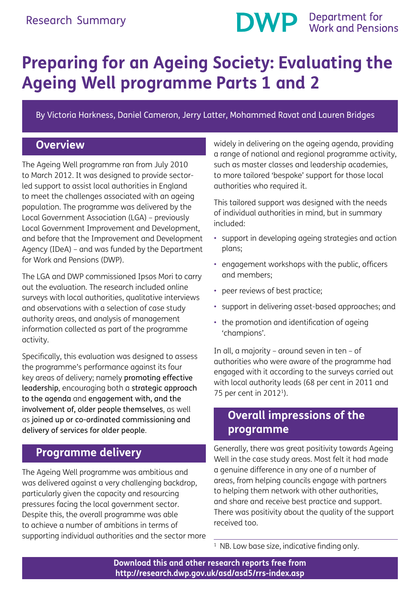

# **Preparing for an Ageing Society: Evaluating the Ageing Well programme Parts 1 and 2**

By Victoria Harkness, Daniel Cameron, Jerry Latter, Mohammed Ravat and Lauren Bridges

#### **Overview**

The Ageing Well programme ran from July 2010 to March 2012. It was designed to provide sectorled support to assist local authorities in England to meet the challenges associated with an ageing population. The programme was delivered by the Local Government Association (LGA) – previously Local Government Improvement and Development, and before that the Improvement and Development Agency (IDeA) – and was funded by the Department for Work and Pensions (DWP).

The LGA and DWP commissioned Ipsos Mori to carry out the evaluation. The research included online surveys with local authorities, qualitative interviews and observations with a selection of case study authority areas, and analysis of management information collected as part of the programme activity.

Specifically, this evaluation was designed to assess the programme's performance against its four key areas of delivery; namely promoting effective leadership, encouraging both a strategic approach to the agenda and engagement with, and the involvement of, older people themselves, as well as joined up or co-ordinated commissioning and delivery of services for older people.

#### **Programme delivery**

The Ageing Well programme was ambitious and was delivered against a very challenging backdrop, particularly given the capacity and resourcing pressures facing the local government sector. Despite this, the overall programme was able to achieve a number of ambitions in terms of supporting individual authorities and the sector more widely in delivering on the ageing agenda, providing a range of national and regional programme activity, such as master classes and leadership academies, to more tailored 'bespoke' support for those local authorities who required it.

This tailored support was designed with the needs of individual authorities in mind, but in summary included:

- support in developing ageing strategies and action plans;
- engagement workshops with the public, officers and members;
- peer reviews of best practice;
- support in delivering asset-based approaches; and
- the promotion and identification of ageing 'champions'.

In all, a majority – around seven in ten – of authorities who were aware of the programme had engaged with it according to the surveys carried out with local authority leads (68 per cent in 2011 and 75 per cent in 20121).

#### **Overall impressions of the programme**

Generally, there was great positivity towards Ageing Well in the case study areas. Most felt it had made a genuine difference in any one of a number of areas, from helping councils engage with partners to helping them network with other authorities, and share and receive best practice and support. There was positivity about the quality of the support received too.

 $1$  NB. Low base size, indicative finding only.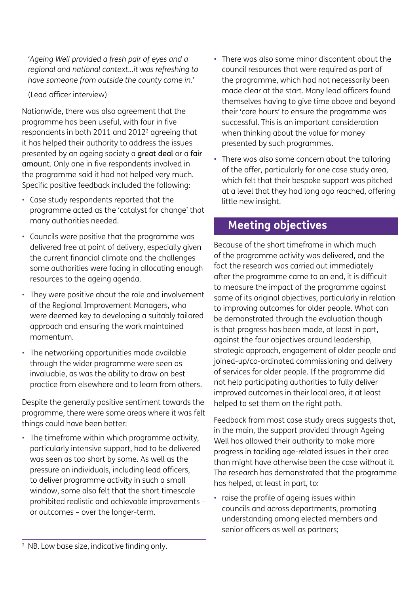*'Ageing Well provided a fresh pair of eyes and a regional and national context…it was refreshing to have someone from outside the county come in.'*

(Lead officer interview)

Nationwide, there was also agreement that the programme has been useful, with four in five respondents in both 2011 and 2012<sup>2</sup> agreeing that it has helped their authority to address the issues presented by an ageing society a great deal or a fair amount. Only one in five respondents involved in the programme said it had not helped very much. Specific positive feedback included the following:

- Case study respondents reported that the programme acted as the 'catalyst for change' that many authorities needed.
- Councils were positive that the programme was delivered free at point of delivery, especially given the current financial climate and the challenges some authorities were facing in allocating enough resources to the ageing agenda.
- They were positive about the role and involvement of the Regional Improvement Managers, who were deemed key to developing a suitably tailored approach and ensuring the work maintained momentum.
- The networking opportunities made available through the wider programme were seen as invaluable, as was the ability to draw on best practice from elsewhere and to learn from others.

Despite the generally positive sentiment towards the programme, there were some areas where it was felt things could have been better:

• The timeframe within which programme activity, particularly intensive support, had to be delivered was seen as too short by some. As well as the pressure on individuals, including lead officers, to deliver programme activity in such a small window, some also felt that the short timescale prohibited realistic and achievable improvements – or outcomes – over the longer-term.

- There was also some minor discontent about the council resources that were required as part of the programme, which had not necessarily been made clear at the start. Many lead officers found themselves having to give time above and beyond their 'core hours' to ensure the programme was successful. This is an important consideration when thinking about the value for money presented by such programmes.
- There was also some concern about the tailoring of the offer, particularly for one case study area, which felt that their bespoke support was pitched at a level that they had long ago reached, offering little new insight.

## **Meeting objectives**

Because of the short timeframe in which much of the programme activity was delivered, and the fact the research was carried out immediately after the programme came to an end, it is difficult to measure the impact of the programme against some of its original objectives, particularly in relation to improving outcomes for older people. What can be demonstrated through the evaluation though is that progress has been made, at least in part, against the four objectives around leadership, strategic approach, engagement of older people and joined-up/co-ordinated commissioning and delivery of services for older people. If the programme did not help participating authorities to fully deliver improved outcomes in their local area, it at least helped to set them on the right path.

Feedback from most case study areas suggests that, in the main, the support provided through Ageing Well has allowed their authority to make more progress in tackling age-related issues in their area than might have otherwise been the case without it. The research has demonstrated that the programme has helped, at least in part, to:

• raise the profile of ageing issues within councils and across departments, promoting understanding among elected members and senior officers as well as partners;

<sup>&</sup>lt;sup>2</sup> NB. Low base size, indicative finding only.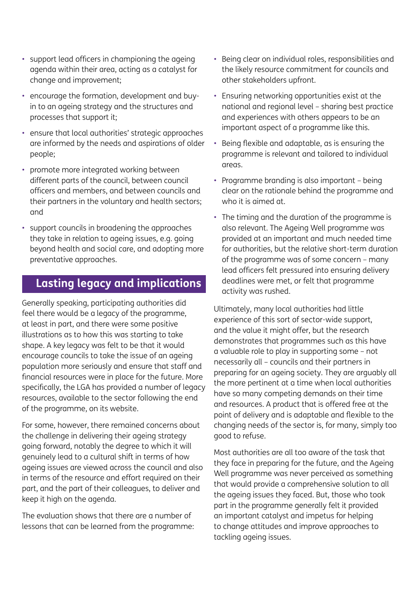- support lead officers in championing the ageing agenda within their area, acting as a catalyst for change and improvement;
- encourage the formation, development and buyin to an ageing strategy and the structures and processes that support it;
- ensure that local authorities' strategic approaches are informed by the needs and aspirations of older people;
- promote more integrated working between different parts of the council, between council officers and members, and between councils and their partners in the voluntary and health sectors; and
- support councils in broadening the approaches they take in relation to ageing issues, e.g. going beyond health and social care, and adopting more preventative approaches.

### **Lasting legacy and implications**

Generally speaking, participating authorities did feel there would be a legacy of the programme, at least in part, and there were some positive illustrations as to how this was starting to take shape. A key legacy was felt to be that it would encourage councils to take the issue of an ageing population more seriously and ensure that staff and financial resources were in place for the future. More specifically, the LGA has provided a number of legacy resources, available to the sector following the end of the programme, on its website.

For some, however, there remained concerns about the challenge in delivering their ageing strategy going forward, notably the degree to which it will genuinely lead to a cultural shift in terms of how ageing issues are viewed across the council and also in terms of the resource and effort required on their part, and the part of their colleagues, to deliver and keep it high on the agenda.

The evaluation shows that there are a number of lessons that can be learned from the programme:

- Being clear on individual roles, responsibilities and the likely resource commitment for councils and other stakeholders upfront.
- Ensuring networking opportunities exist at the national and regional level – sharing best practice and experiences with others appears to be an important aspect of a programme like this.
- Being flexible and adaptable, as is ensuring the programme is relevant and tailored to individual areas.
- Programme branding is also important being clear on the rationale behind the programme and who it is aimed at.
- The timing and the duration of the programme is also relevant. The Ageing Well programme was provided at an important and much needed time for authorities, but the relative short-term duration of the programme was of some concern – many lead officers felt pressured into ensuring delivery deadlines were met, or felt that programme activity was rushed.

Ultimately, many local authorities had little experience of this sort of sector-wide support, and the value it might offer, but the research demonstrates that programmes such as this have a valuable role to play in supporting some – not necessarily all – councils and their partners in preparing for an ageing society. They are arguably all the more pertinent at a time when local authorities have so many competing demands on their time and resources. A product that is offered free at the point of delivery and is adaptable and flexible to the changing needs of the sector is, for many, simply too good to refuse.

Most authorities are all too aware of the task that they face in preparing for the future, and the Ageing Well programme was never perceived as something that would provide a comprehensive solution to all the ageing issues they faced. But, those who took part in the programme generally felt it provided an important catalyst and impetus for helping to change attitudes and improve approaches to tackling ageing issues.